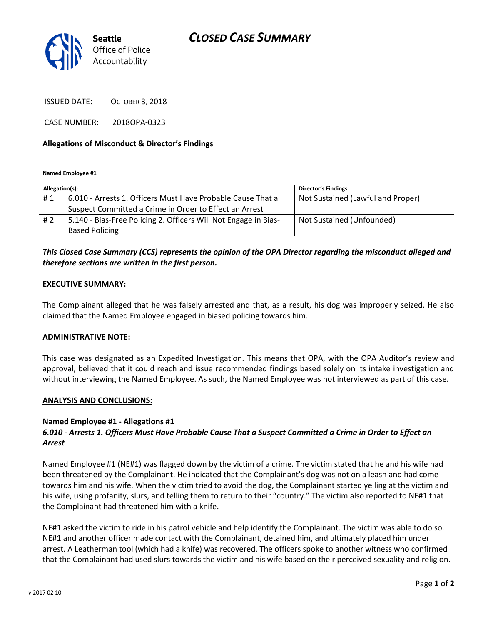

ISSUED DATE: OCTOBER 3, 2018

CASE NUMBER: 2018OPA-0323

### **Allegations of Misconduct & Director's Findings**

**Named Employee #1**

| Allegation(s): |                                                                 | <b>Director's Findings</b>        |
|----------------|-----------------------------------------------------------------|-----------------------------------|
| #1             | 6.010 - Arrests 1. Officers Must Have Probable Cause That a     | Not Sustained (Lawful and Proper) |
|                | Suspect Committed a Crime in Order to Effect an Arrest          |                                   |
| # 2            | 5.140 - Bias-Free Policing 2. Officers Will Not Engage in Bias- | Not Sustained (Unfounded)         |
|                | <b>Based Policing</b>                                           |                                   |

## *This Closed Case Summary (CCS) represents the opinion of the OPA Director regarding the misconduct alleged and therefore sections are written in the first person.*

#### **EXECUTIVE SUMMARY:**

The Complainant alleged that he was falsely arrested and that, as a result, his dog was improperly seized. He also claimed that the Named Employee engaged in biased policing towards him.

#### **ADMINISTRATIVE NOTE:**

This case was designated as an Expedited Investigation. This means that OPA, with the OPA Auditor's review and approval, believed that it could reach and issue recommended findings based solely on its intake investigation and without interviewing the Named Employee. As such, the Named Employee was not interviewed as part of this case.

#### **ANALYSIS AND CONCLUSIONS:**

#### **Named Employee #1 - Allegations #1**

## *6.010 - Arrests 1. Officers Must Have Probable Cause That a Suspect Committed a Crime in Order to Effect an Arrest*

Named Employee #1 (NE#1) was flagged down by the victim of a crime. The victim stated that he and his wife had been threatened by the Complainant. He indicated that the Complainant's dog was not on a leash and had come towards him and his wife. When the victim tried to avoid the dog, the Complainant started yelling at the victim and his wife, using profanity, slurs, and telling them to return to their "country." The victim also reported to NE#1 that the Complainant had threatened him with a knife.

NE#1 asked the victim to ride in his patrol vehicle and help identify the Complainant. The victim was able to do so. NE#1 and another officer made contact with the Complainant, detained him, and ultimately placed him under arrest. A Leatherman tool (which had a knife) was recovered. The officers spoke to another witness who confirmed that the Complainant had used slurs towards the victim and his wife based on their perceived sexuality and religion.